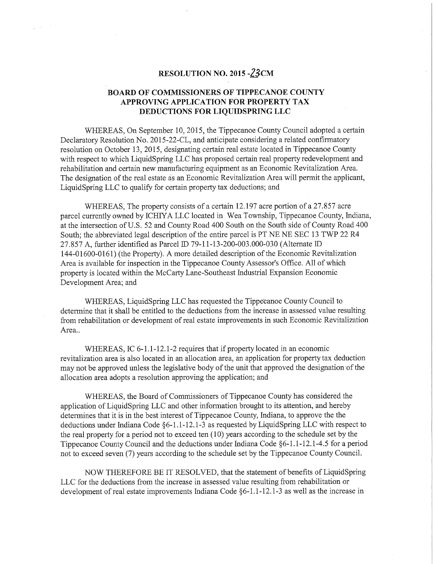## RESOLUTION NO. 2015 - 23CM

## 'BOARD OF COMMISSIONERS OF TIPPECANOE COUNTY APPROVING APPLICATION FOR PROPERTY TAX DEDUCTIONS FOR LIQUIDSPRING LLC

WHEREAS, On September 10, 2015, the Tippecanoe County Council adopted <sup>a</sup> certain Declaratory Resolution No. 2015—22-CL, and anticipate considering <sup>a</sup> related confirmatory resolution on October 13, 2015, designating certain real estate located in Tippecanoe County with respect to which LiquidSpring LLC has proposed certain real property redevelopment and rehabilitation and certain new manufacturing equipment as an Economic Revitalization Area. The designation of the real estate as an Economic Revitalization Area will permit the applicant, LiquidSpring LLC to qualify for certain property tax deductions; and

WHEREAS, The property consists of a certain 12.197 acre portion of a 27.857 acre parcel currently owned by ICHIYA LLC located in Wea Township, Tippecanoe County, Indiana, at the intersection ofUS. 52 and County Road 400 South on the South side of County Road 400 South; the abbreviated legal description of the entire parcel is PT NE NE SEC 13 TWP 22 R4 27.857 A, further identified as Parcel ID 79-11-13-200-003.000-030 (Alternate ID 144-01600-0161) (the Property). A more detailed description of the Economic Revitalization Area is available for inspection in the Tippecanoe County Assessor's Office. All of which property is located within the McCarty Lane—Southeast Industrial Expansion Economic Development Area; and

WHEREAS, LiquidSpring LLC has requested the Tippecanoe County Council to determine that it shall be entitled to the deductions from the increase in assessed value resulting from rehabilitation or development of real estate improvements in such Economic Revitalization Area.

WHEREAS, IC  $6-1.1-12.1-2$  requires that if property located in an economic revitalization area is also located in an allocation area, an application for property tax deduction may not be approved unless the legislative body of the unit that approved the designation of the allocation area adopts <sup>a</sup> resolution approving the application; and

WHEREAS, the Board of Commissioners of Tippecanoe County has considered the application of LiquidSpring LLC and other information brought to its attention, and hereby determines that it is in the best interest of Tippecanoe County, Indiana, to approve the the deductions under Indiana Code  $\S6-1.1-12.1-3$  as requested by LiquidSpring LLC with respect to the real property for <sup>a</sup> period not to exceed ten (10) years according to the schedule set by the Tippecanoe County Council and the deductions under Indiana Code  $§6-1.1-12.1-4.5$  for a period not to exceed seven (7) years according to the schedule set by the Tippecanoe County Council.

NOW THEREFORE BE IT RESOLVED, that the statement of benefits of LiquidSpring LLC for the deductions from the increase in assessed value resulting from rehabilitation or development of real estate improvements Indiana Code §6-1.1-12.1-3 as well as the increase in